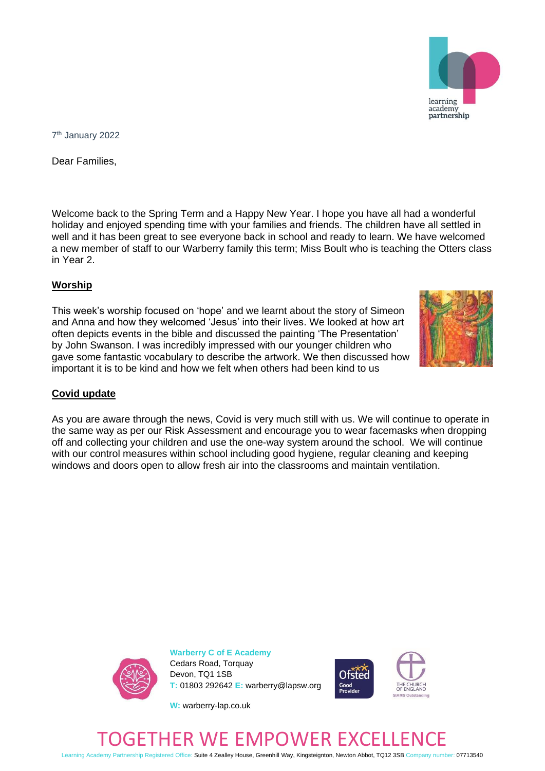learning academy partnership

7 th January 2022

Dear Families,

Welcome back to the Spring Term and a Happy New Year. I hope you have all had a wonderful holiday and enjoyed spending time with your families and friends. The children have all settled in well and it has been great to see everyone back in school and ready to learn. We have welcomed a new member of staff to our Warberry family this term; Miss Boult who is teaching the Otters class in Year 2.

## **Worship**

This week's worship focused on 'hope' and we learnt about the story of Simeon and Anna and how they welcomed 'Jesus' into their lives. We looked at how art often depicts events in the bible and discussed the painting 'The Presentation' by John Swanson. I was incredibly impressed with our younger children who gave some fantastic vocabulary to describe the artwork. We then discussed how important it is to be kind and how we felt when others had been kind to us



As you are aware through the news, Covid is very much still with us. We will continue to operate in the same way as per our Risk Assessment and encourage you to wear facemasks when dropping off and collecting your children and use the one-way system around the school. We will continue with our control measures within school including good hygiene, regular cleaning and keeping windows and doors open to allow fresh air into the classrooms and maintain ventilation.



**Warberry C of E Academy** Cedars Road, Torquay Devon, TQ1 1SB **T:** 01803 292642 **E:** warberry@lapsw.org



## **W:** warberry-lap.co.uk



Learning Academy Partnership Registered Office: Suite 4 Zealley House, Greenhill Way, Kingsteignton, Newton Abbot, TQ12 3SB Company number: 07713540